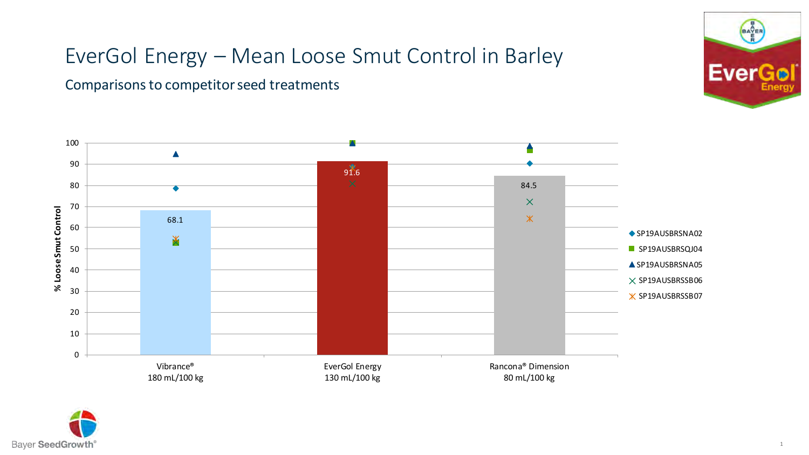Comparisons to competitor seed treatments





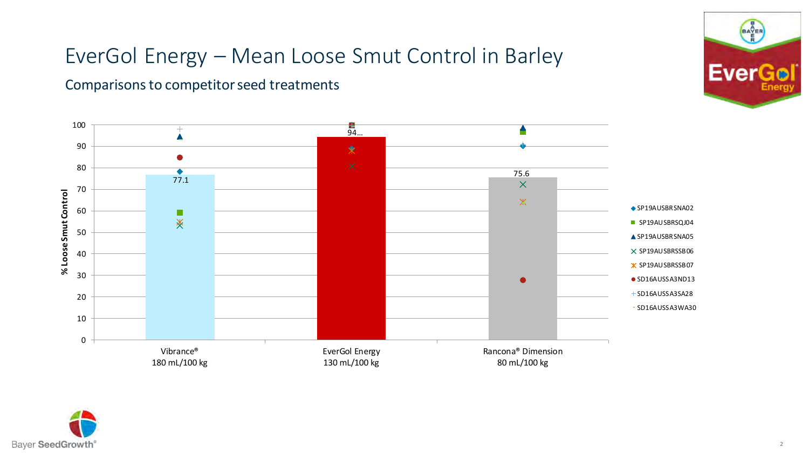#### Comparisons to competitor seed treatments





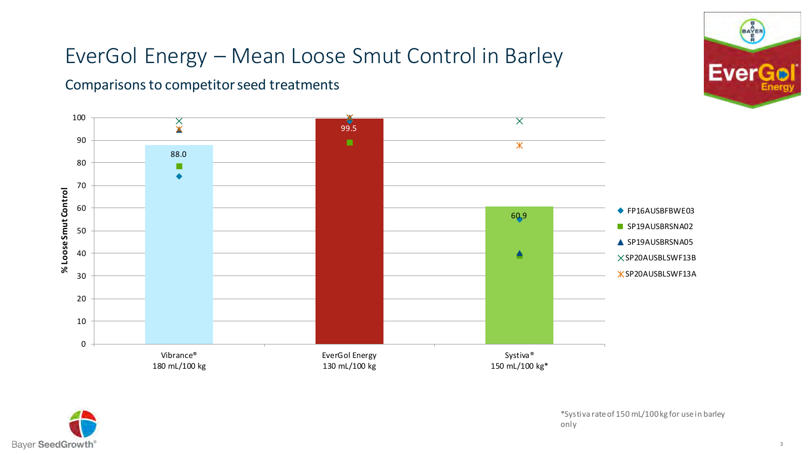#### Comparisons to competitor seed treatments





\*Systiva rate of 150 mL/100 kg for use in barley only